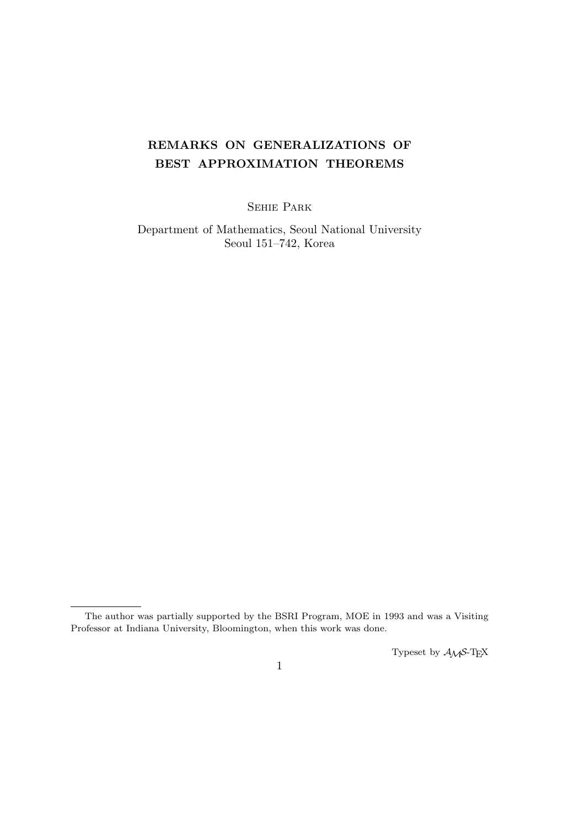# **REMARKS ON GENERALIZATIONS OF BEST APPROXIMATION THEOREMS**

Sehie Park

Department of Mathematics, Seoul National University Seoul 151–742, Korea

Typeset by *AMS*-TEX

The author was partially supported by the BSRI Program, MOE in 1993 and was a Visiting Professor at Indiana University, Bloomington, when this work was done.

<sup>1</sup>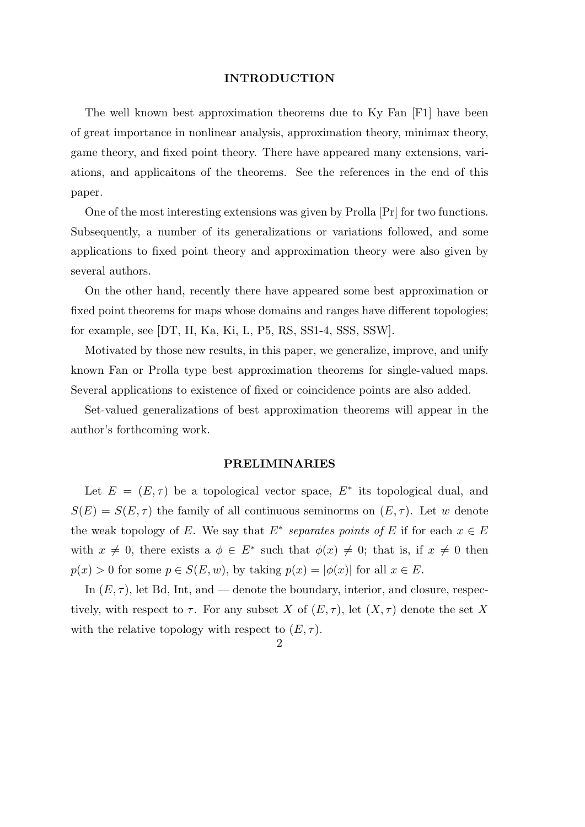#### **INTRODUCTION**

The well known best approximation theorems due to Ky Fan [F1] have been of great importance in nonlinear analysis, approximation theory, minimax theory, game theory, and fixed point theory. There have appeared many extensions, variations, and applicaitons of the theorems. See the references in the end of this paper.

One of the most interesting extensions was given by Prolla [Pr] for two functions. Subsequently, a number of its generalizations or variations followed, and some applications to fixed point theory and approximation theory were also given by several authors.

On the other hand, recently there have appeared some best approximation or fixed point theorems for maps whose domains and ranges have different topologies; for example, see [DT, H, Ka, Ki, L, P5, RS, SS1-4, SSS, SSW].

Motivated by those new results, in this paper, we generalize, improve, and unify known Fan or Prolla type best approximation theorems for single-valued maps. Several applications to existence of fixed or coincidence points are also added.

Set-valued generalizations of best approximation theorems will appear in the author's forthcoming work.

#### **PRELIMINARIES**

Let  $E = (E, \tau)$  be a topological vector space,  $E^*$  its topological dual, and  $S(E) = S(E, \tau)$  the family of all continuous seminorms on  $(E, \tau)$ . Let *w* denote the weak topology of *E*. We say that  $E^*$  separates points of *E* if for each  $x \in E$ with  $x \neq 0$ , there exists a  $\phi \in E^*$  such that  $\phi(x) \neq 0$ ; that is, if  $x \neq 0$  then  $p(x) > 0$  for some  $p \in S(E, w)$ , by taking  $p(x) = |\phi(x)|$  for all  $x \in E$ .

In  $(E, \tau)$ , let Bd, Int, and — denote the boundary, interior, and closure, respectively, with respect to  $\tau$ . For any subset *X* of  $(E, \tau)$ , let  $(X, \tau)$  denote the set *X* with the relative topology with respect to  $(E, \tau)$ .

 $\mathcal{D}_{\mathcal{L}}$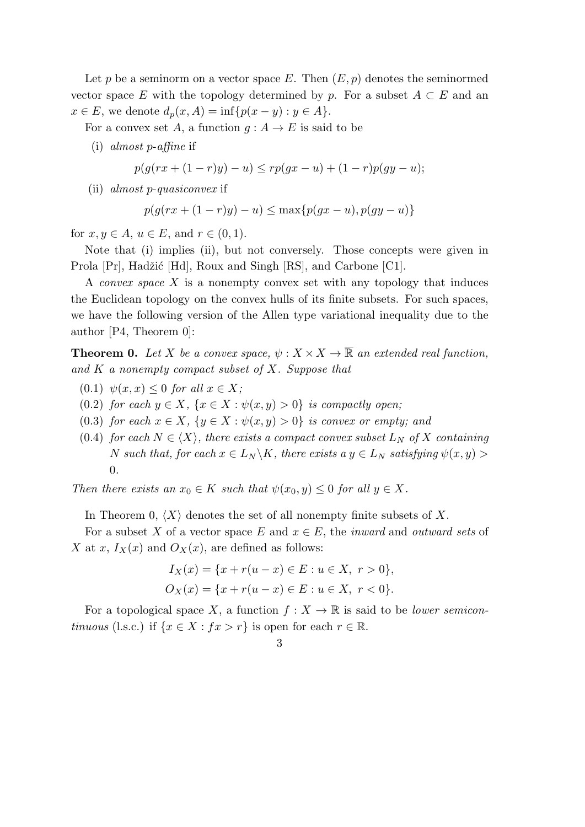Let p be a seminorm on a vector space E. Then  $(E, p)$  denotes the seminormed vector space *E* with the topology determined by *p*. For a subset  $A \subset E$  and an  $x \in E$ , we denote  $d_p(x, A) = \inf \{ p(x - y) : y \in A \}.$ 

For a convex set *A*, a function  $g: A \to E$  is said to be

(i) *almost p*-*affine* if

$$
p(g(rx + (1 - r)y) - u) \leq rp(gx - u) + (1 - r)p(gy - u);
$$

(ii) *almost p*-*quasiconvex* if

$$
p(g(rx + (1 - r)y) - u) \le \max\{p(gx - u), p(gy - u)\}\
$$

for  $x, y \in A$ ,  $u \in E$ , and  $r \in (0, 1)$ .

Note that (i) implies (ii), but not conversely. Those concepts were given in Prola [Pr], Hadžić [Hd], Roux and Singh [RS], and Carbone [C1].

A *convex space X* is a nonempty convex set with any topology that induces the Euclidean topology on the convex hulls of its finite subsets. For such spaces, we have the following version of the Allen type variational inequality due to the author [P4, Theorem 0]:

**Theorem 0.** Let *X* be a convex space,  $\psi: X \times X \to \overline{\mathbb{R}}$  an extended real function, *and K a nonempty compact subset of X. Suppose that*

- $(0.1)$   $\psi(x, x) \leq 0$  *for all*  $x \in X$ ;
- (0.2) *for each*  $y \in X$ ,  $\{x \in X : \psi(x, y) > 0\}$  *is compactly open;*
- (0.3) *for each*  $x \in X$ ,  $\{y \in X : \psi(x, y) > 0\}$  *is convex or empty; and*
- (0.4) *for each*  $N \in \langle X \rangle$ *, there exists a compact convex subset*  $L_N$  *of*  $X$  *containing N such that, for each*  $x \in L_N \backslash K$ *, there exists a*  $y \in L_N$  *satisfying*  $\psi(x, y)$  > 0*.*

*Then there exists an*  $x_0 \in K$  *such that*  $\psi(x_0, y) \leq 0$  *for all*  $y \in X$ *.* 

In Theorem 0,  $\langle X \rangle$  denotes the set of all nonempty finite subsets of X.

For a subset *X* of a vector space *E* and  $x \in E$ , the *inward* and *outward sets* of *X* at *x*,  $I_X(x)$  and  $O_X(x)$ , are defined as follows:

$$
I_X(x) = \{x + r(u - x) \in E : u \in X, r > 0\},\,
$$
  

$$
O_X(x) = \{x + r(u - x) \in E : u \in X, r < 0\}.
$$

For a topological space X, a function  $f: X \to \mathbb{R}$  is said to be *lower semicontinuous* (l.s.c.) if  $\{x \in X : fx > r\}$  is open for each  $r \in \mathbb{R}$ .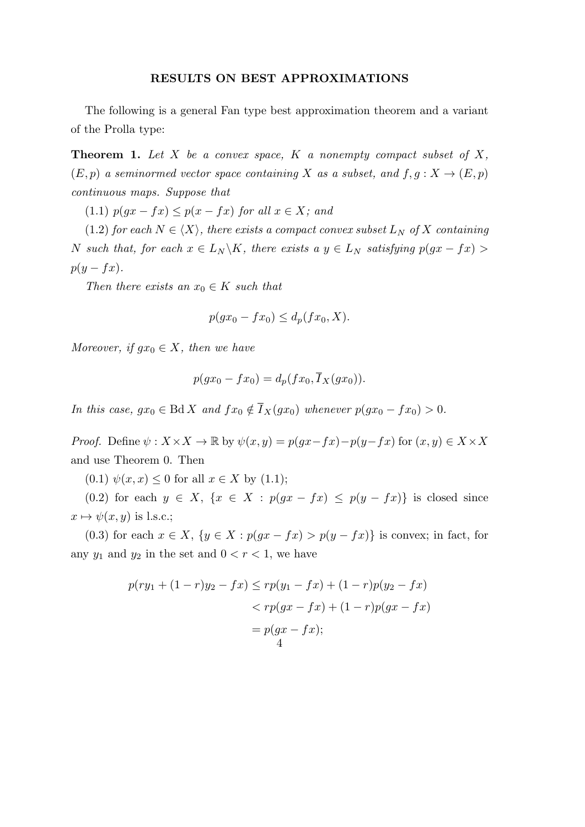### **RESULTS ON BEST APPROXIMATIONS**

The following is a general Fan type best approximation theorem and a variant of the Prolla type:

**Theorem 1.** *Let X be a convex space, K a nonempty compact subset of X,*  $(E, p)$  *a seminormed vector space containing X as a subset, and*  $f, g: X \rightarrow (E, p)$ *continuous maps. Suppose that*

 $(1.1)$   $p(qx - fx) \leq p(x - fx)$  *for all*  $x \in X$ *; and* 

(1.2) *for each*  $N \in \langle X \rangle$ *, there exists a compact convex subset*  $L_N$  *of*  $X$  *containing N such that, for each*  $x \in L_N \backslash K$ *, there exists a*  $y \in L_N$  *satisfying*  $p(gx - fx)$ *p*(*y* − *fx*)*.* 

*Then there exists an*  $x_0 \in K$  *such that* 

$$
p(gx_0 - fx_0) \le d_p(fx_0, X).
$$

*Moreover, if*  $gx_0 \in X$ *, then we have* 

$$
p(gx_0 - fx_0) = d_p(fx_0, \overline{I}_X(gx_0)).
$$

*In this case,*  $gx_0 \in \text{Bd} X$  *and*  $fx_0 \notin \overline{I}_X(gx_0)$  *whenever*  $p(gx_0 - fx_0) > 0$ *.* 

*Proof.* Define  $\psi$  :  $X \times X \to \mathbb{R}$  by  $\psi(x, y) = p(gx - fx) - p(y - fx)$  for  $(x, y) \in X \times X$ and use Theorem 0. Then

 $(0.1)$   $\psi(x, x) \leq 0$  for all  $x \in X$  by  $(1.1)$ ;

(0.2) for each  $y \in X$ ,  $\{x \in X : p(gx - fx) \leq p(y - fx)\}\$ is closed since  $x \mapsto \psi(x, y)$  is l.s.c.;

(0.3) for each  $x \in X$ ,  $\{y \in X : p(gx - fx) > p(y - fx)\}\$ is convex; in fact, for any  $y_1$  and  $y_2$  in the set and  $0 < r < 1$ , we have

$$
p(ry_1 + (1 - r)y_2 - fx) \le rp(y_1 - fx) + (1 - r)p(y_2 - fx)
$$
  

$$
< rp(gx - fx) + (1 - r)p(gx - fx)
$$
  

$$
= p(gx - fx);
$$
  

$$
\frac{4}{3}
$$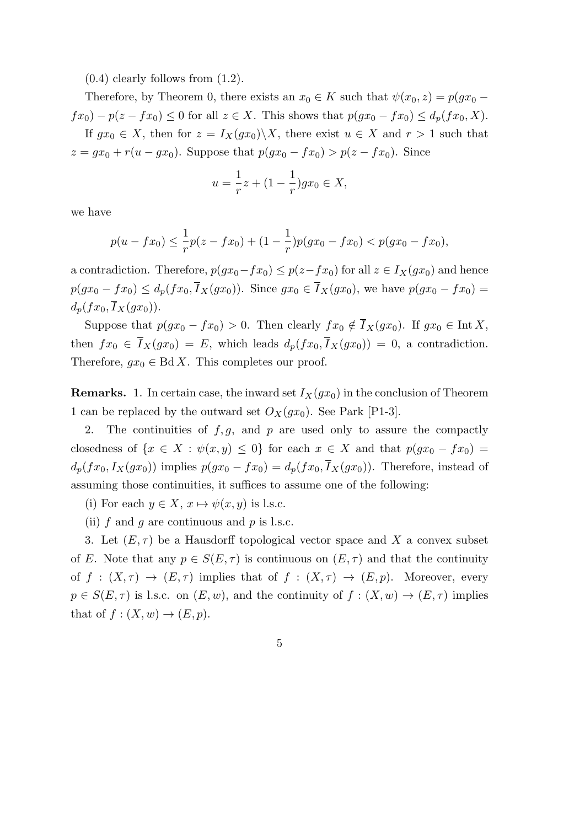$(0.4)$  clearly follows from  $(1.2)$ .

Therefore, by Theorem 0, there exists an  $x_0 \in K$  such that  $\psi(x_0, z) = p(gx_0 - z_0)$ *fx*<sub>0</sub>) − *p*(*z* − *fx*<sub>0</sub>) ≤ 0 for all *z* ∈ *X*. This shows that  $p(gx_0 - fx_0) \le d_p(fx_0, X)$ . If  $gx_0 \in X$ , then for  $z = I_X(gx_0) \setminus X$ , there exist  $u \in X$  and  $r > 1$  such that  $z = gx_0 + r(u - gx_0)$ . Suppose that  $p(gx_0 - fx_0) > p(z - fx_0)$ . Since

$$
u = \frac{1}{r}z + (1 - \frac{1}{r})gx_0 \in X,
$$

we have

$$
p(u - fx_0) \le \frac{1}{r}p(z - fx_0) + (1 - \frac{1}{r})p(gx_0 - fx_0) < p(gx_0 - fx_0),
$$

a contradiction. Therefore,  $p(gx_0 - fx_0) \leq p(z - fx_0)$  for all  $z \in I_X(gx_0)$  and hence *p*(*gx*<sub>0</sub> − *fx*<sub>0</sub>) ≤ *d<sub>p</sub>*(*fx*<sub>0</sub>,  $\overline{I}_X(gx_0)$ ). Since  $gx_0 \in \overline{I}_X(gx_0)$ , we have  $p(gx_0 - fx_0)$  =  $d_p(fx_0, \overline{I}_X(gx_0)).$ 

Suppose that  $p(gx_0 - fx_0) > 0$ . Then clearly  $fx_0 \notin \overline{I}_X(gx_0)$ . If  $gx_0 \in \text{Int } X$ , then  $fx_0 \in \overline{I}_X(gx_0) = E$ , which leads  $d_p(fx_0, \overline{I}_X(gx_0)) = 0$ , a contradiction. Therefore,  $qx_0 \in \text{Bd } X$ . This completes our proof.

**Remarks.** 1. In certain case, the inward set  $I_X(gx_0)$  in the conclusion of Theorem 1 can be replaced by the outward set  $O_X(gx_0)$ . See Park [P1-3].

2. The continuities of *f, g*, and *p* are used only to assure the compactly closedness of  $\{x \in X : \psi(x, y) \leq 0\}$  for each  $x \in X$  and that  $p(gx_0 - fx_0) =$  $d_p(fx_0, I_X(gx_0))$  implies  $p(gx_0 - fx_0) = d_p(fx_0, I_X(gx_0))$ . Therefore, instead of assuming those continuities, it suffices to assume one of the following:

(i) For each  $y \in X$ ,  $x \mapsto \psi(x, y)$  is l.s.c.

(ii) *f* and *g* are continuous and *p* is l.s.c.

3. Let  $(E, \tau)$  be a Hausdorff topological vector space and X a convex subset of *E*. Note that any  $p \in S(E, \tau)$  is continuous on  $(E, \tau)$  and that the continuity of  $f : (X, \tau) \to (E, \tau)$  implies that of  $f : (X, \tau) \to (E, p)$ . Moreover, every  $p \in S(E, \tau)$  is l.s.c. on  $(E, w)$ , and the continuity of  $f : (X, w) \to (E, \tau)$  implies that of  $f:(X,w)\to (E,p).$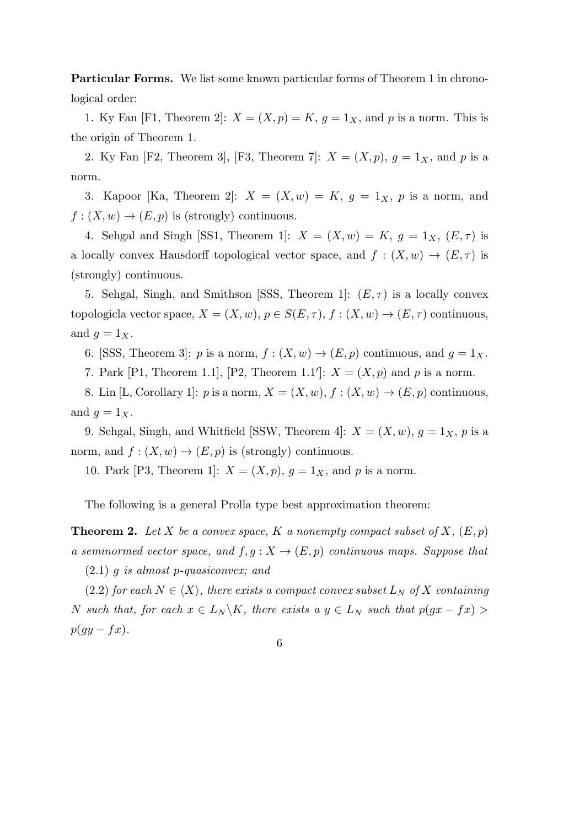**Particular Forms.** We list some known particular forms of Theorem 1 in chronological order:

1. Ky Fan [F1, Theorem 2]:  $X = (X, p) = K$ ,  $g = 1_X$ , and p is a norm. This is the origin of Theorem 1.

2. Ky Fan [F2, Theorem 3], [F3, Theorem 7]:  $X = (X, p)$ ,  $q = 1_X$ , and p is a norm.

3. Kapoor [Ka, Theorem 2]:  $X = (X, w) = K$ ,  $g = 1_X$ ,  $p$  is a norm, and  $f: (X, w) \to (E, p)$  is (strongly) continuous.

4. Sehgal and Singh [SS1, Theorem 1]:  $X = (X, w) = K$ ,  $g = 1_X$ ,  $(E, \tau)$  is a locally convex Hausdorff topological vector space, and  $f : (X, w) \to (E, \tau)$  is (strongly) continuous.

5. Sehgal, Singh, and Smithson [SSS, Theorem 1]:  $(E, \tau)$  is a locally convex topologicla vector space,  $X = (X, w), p \in S(E, \tau), f : (X, w) \to (E, \tau)$  continuous, and  $g = 1_X$ .

6. [SSS, Theorem 3]: *p* is a norm,  $f : (X, w) \to (E, p)$  continuous, and  $g = 1_X$ .

7. Park [P1, Theorem 1.1], [P2, Theorem 1.1']:  $X = (X, p)$  and p is a norm.

8. Lin [L, Corollary 1]: *p* is a norm,  $X = (X, w)$ ,  $f : (X, w) \rightarrow (E, p)$  continuous, and  $g = 1_X$ .

9. Sehgal, Singh, and Whitfield [SSW, Theorem 4]:  $X = (X, w)$ ,  $g = 1_X$ , p is a norm, and  $f: (X, w) \to (E, p)$  is (strongly) continuous.

10. Park [P3, Theorem 1]:  $X = (X, p)$ ,  $q = 1_X$ , and p is a norm.

The following is a general Prolla type best approximation theorem:

**Theorem 2.** Let X be a convex space, K a nonempty compact subset of X,  $(E, p)$ *a seminormed vector space, and*  $f, g: X \to (E, p)$  *continuous maps. Suppose that* 

(2.1) *g is almost p-quasiconvex; and*

 $(2.2)$  *for each*  $N \in \langle X \rangle$ *, there exists a compact convex subset*  $L_N$  *of*  $X$  *containing N such that, for each*  $x \in L_N \backslash K$ *, there exists a*  $y \in L_N$  *such that*  $p(gx - fx)$ *p*( $gy − f x$ ).

6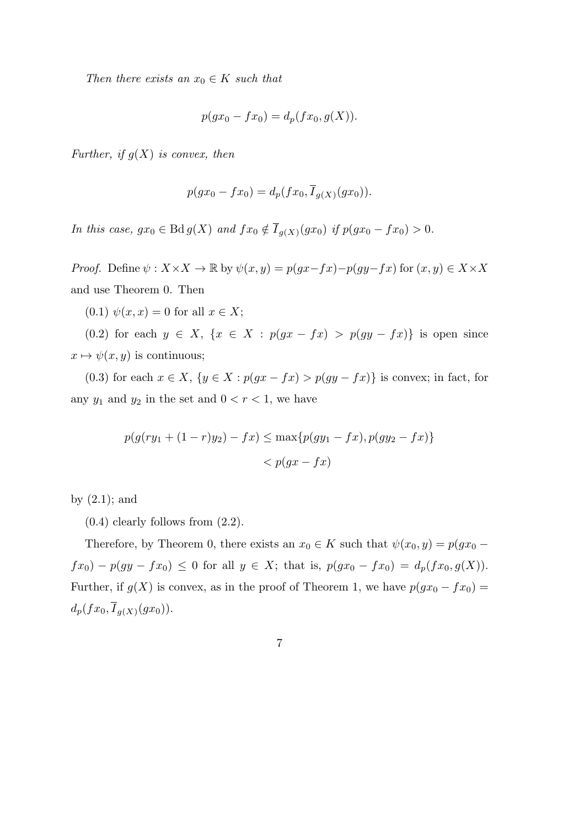*Then there exists an*  $x_0 \in K$  *such that* 

$$
p(gx_0 - fx_0) = d_p(fx_0, g(X)).
$$

*Further, if g*(*X*) *is convex, then*

$$
p(gx_0 - fx_0) = d_p(fx_0, \overline{I}_{g(X)}(gx_0)).
$$

*In this case,*  $gx_0 \in \text{Bd} g(X)$  *and*  $fx_0 \notin I_{g(X)}(gx_0)$  *if*  $p(gx_0 - fx_0) > 0$ .

*Proof.* Define  $\psi$  :  $X \times X \to \mathbb{R}$  by  $\psi(x, y) = p(gx - fx) - p(gy - fx)$  for  $(x, y) \in X \times X$ and use Theorem 0. Then

 $(0.1)$   $\psi(x, x) = 0$  for all  $x \in X$ ;

(0.2) for each  $y \in X$ ,  $\{x \in X : p(gx - fx) > p(gy - fx)\}\$ is open since  $x \mapsto \psi(x, y)$  is continuous;

(0.3) for each  $x \in X$ ,  $\{y \in X : p(gx - fx) > p(gy - fx)\}$  is convex; in fact, for any  $y_1$  and  $y_2$  in the set and  $0 < r < 1$ , we have

$$
p(g(ry1 + (1 - r)y2) - fx) \le \max\{p(gy1 - fx), p(gy2 - fx)\}\
$$

$$
< p(gx - fx)
$$

by  $(2.1)$ ; and

 $(0.4)$  clearly follows from  $(2.2)$ .

Therefore, by Theorem 0, there exists an  $x_0 \in K$  such that  $\psi(x_0, y) = p(gx_0$ *fx*<sub>0</sub>) − *p*(*gy* − *fx*<sub>0</sub>) ≤ 0 for all *y* ∈ *X*; that is,  $p(gx_0 - fx_0) = d_p(fx_0, g(X))$ . Further, if  $g(X)$  is convex, as in the proof of Theorem 1, we have  $p(gx_0 - fx_0)$  $d_p(fx_0, I_{g(X)}(gx_0)).$ 

$$
\overline{7}
$$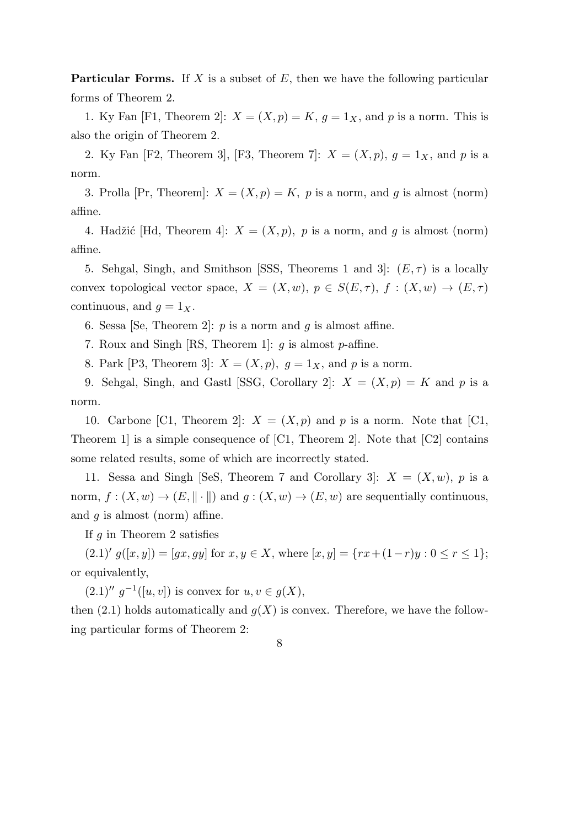**Particular Forms.** If *X* is a subset of *E*, then we have the following particular forms of Theorem 2.

1. Ky Fan [F1, Theorem 2]:  $X = (X, p) = K$ ,  $g = 1_X$ , and p is a norm. This is also the origin of Theorem 2.

2. Ky Fan [F2, Theorem 3], [F3, Theorem 7]:  $X = (X, p)$ ,  $g = 1_X$ , and p is a norm.

3. Prolla [Pr, Theorem]:  $X = (X, p) = K$ , p is a norm, and g is almost (norm) affine.

4. Hadžić [Hd, Theorem 4]:  $X = (X, p)$ , p is a norm, and g is almost (norm) affine.

5. Sehgal, Singh, and Smithson [SSS, Theorems 1 and 3]:  $(E, \tau)$  is a locally convex topological vector space,  $X = (X, w), p \in S(E, \tau), f : (X, w) \to (E, \tau)$ continuous, and  $q = 1_X$ .

6. Sessa [Se, Theorem 2]: *p* is a norm and *g* is almost affine.

7. Roux and Singh [RS, Theorem 1]: *g* is almost *p*-affine.

8. Park [P3, Theorem 3]:  $X = (X, p)$ ,  $q = 1_X$ , and p is a norm.

9. Sehgal, Singh, and Gastl [SSG, Corollary 2]:  $X = (X, p) = K$  and p is a norm.

10. Carbone [C1, Theorem 2]:  $X = (X, p)$  and p is a norm. Note that [C1, Theorem 1] is a simple consequence of [C1, Theorem 2]. Note that [C2] contains some related results, some of which are incorrectly stated.

11. Sessa and Singh [SeS, Theorem 7 and Corollary 3]:  $X = (X, w)$ , p is a norm,  $f: (X, w) \to (E, \|\cdot\|)$  and  $g: (X, w) \to (E, w)$  are sequentially continuous, and *g* is almost (norm) affine.

If *g* in Theorem 2 satisfies

 $(g.1)'$   $g([x, y]) = [gx, gy]$  for  $x, y \in X$ , where  $[x, y] = \{rx + (1-r)y : 0 \le r \le 1\}$ ; or equivalently,

 $(2.1)'$   $g^{-1}([u, v])$  is convex for  $u, v \in g(X)$ ,

then  $(2.1)$  holds automatically and  $g(X)$  is convex. Therefore, we have the following particular forms of Theorem 2: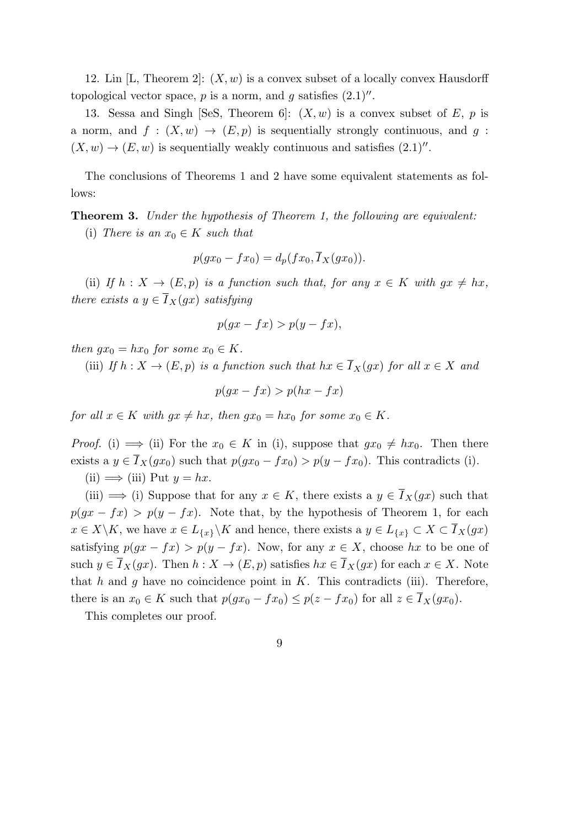12. Lin [L, Theorem 2]: (*X, w*) is a convex subset of a locally convex Hausdorff topological vector space,  $p$  is a norm, and  $q$  satisfies  $(2.1)''$ .

13. Sessa and Singh [SeS, Theorem 6]:  $(X, w)$  is a convex subset of  $E$ ,  $p$  is a norm, and  $f : (X, w) \to (E, p)$  is sequentially strongly continuous, and  $g :$  $(X, w) \rightarrow (E, w)$  is sequentially weakly continuous and satisfies  $(2.1)''$ .

The conclusions of Theorems 1 and 2 have some equivalent statements as follows:

**Theorem 3.** *Under the hypothesis of Theorem 1, the following are equivalent:*

(i) *There is an*  $x_0 \in K$  *such that* 

$$
p(gx_0 - fx_0) = d_p(fx_0, \overline{I}_X(gx_0)).
$$

(ii) If  $h: X \to (E, p)$  is a function such that, for any  $x \in K$  with  $gx \neq hx$ , *there exists a*  $y \in \overline{I}_X(gx)$  *satisfying* 

$$
p(gx - fx) > p(y - fx),
$$

*then*  $gx_0 = hx_0$  *for some*  $x_0 \in K$ *.* 

(iii) *If*  $h: X \to (E, p)$  *is a function such that*  $hx \in \overline{I}_X(gx)$  *for all*  $x \in X$  *and* 

 $p(gx - fx) > p(hx - fx)$ 

*for all*  $x \in K$  *with*  $gx \neq hx$ , *then*  $gx_0 = hx_0$  *for some*  $x_0 \in K$ *.* 

*Proof.* (i)  $\implies$  (ii) For the  $x_0 \in K$  in (i), suppose that  $gx_0 \neq hx_0$ . Then there exists a  $y \in \overline{I}_X(gx_0)$  such that  $p(gx_0 - fx_0) > p(y - fx_0)$ . This contradicts (i).

 $(ii) \implies (iii)$  Put  $y = hx$ .

(iii)  $\implies$  (i) Suppose that for any  $x \in K$ , there exists a  $y \in \overline{I}_X(gx)$  such that  $p(gx - fx) > p(y - fx)$ . Note that, by the hypothesis of Theorem 1, for each  $x \in X \backslash K$ , we have  $x \in L_{\{x\}} \backslash K$  and hence, there exists a  $y \in L_{\{x\}} \subset X \subset \overline{I}_X(gx)$ satisfying  $p(gx - fx) > p(y - fx)$ . Now, for any  $x \in X$ , choose  $hx$  to be one of such  $y \in \overline{I}_X(gx)$ . Then  $h: X \to (E, p)$  satisfies  $hx \in \overline{I}_X(gx)$  for each  $x \in X$ . Note that  $h$  and  $g$  have no coincidence point in  $K$ . This contradicts (iii). Therefore, there is an  $x_0 \in K$  such that  $p(gx_0 - fx_0) \leq p(z - fx_0)$  for all  $z \in \overline{I}_X(gx_0)$ .

This completes our proof.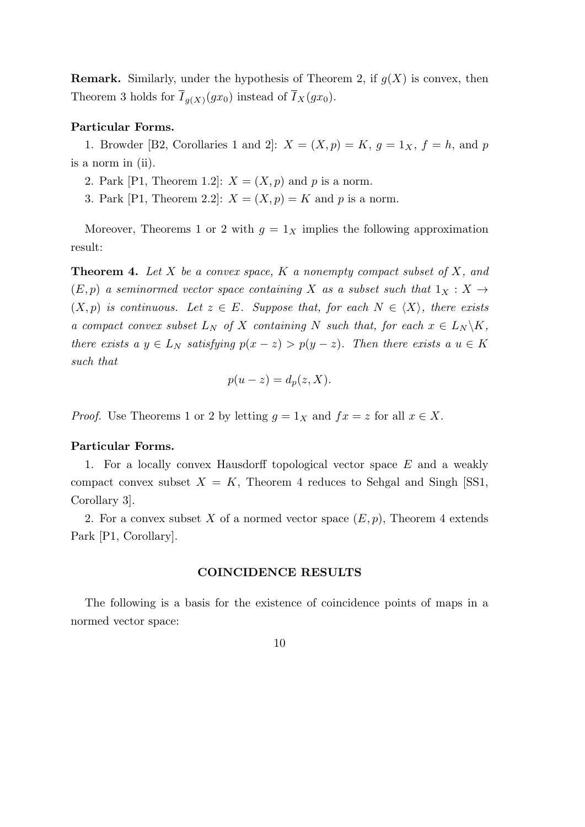**Remark.** Similarly, under the hypothesis of Theorem 2, if *g*(*X*) is convex, then Theorem 3 holds for  $I_{g(X)}(gx_0)$  instead of  $I_X(gx_0)$ .

#### **Particular Forms.**

1. Browder [B2, Corollaries 1 and 2]:  $X = (X, p) = K$ ,  $q = 1_X$ ,  $f = h$ , and p is a norm in (ii).

2. Park [P1, Theorem 1.2]:  $X = (X, p)$  and p is a norm.

3. Park [P1, Theorem 2.2]:  $X = (X, p) = K$  and p is a norm.

Moreover, Theorems 1 or 2 with  $g = 1_X$  implies the following approximation result:

**Theorem 4.** *Let X be a convex space, K a nonempty compact subset of X, and*  $(E, p)$  *a seminormed vector space containing X as a subset such that*  $1_X : X \rightarrow$  $(X, p)$  *is continuous.* Let  $z \in E$ *. Suppose that, for each*  $N \in \langle X \rangle$ *, there exists a compact convex subset*  $L_N$  *of*  $X$  *containing*  $N$  *such that, for each*  $x \in L_N \backslash K$ , *there exists a*  $y \in L_N$  *satisfying*  $p(x - z) > p(y - z)$ *. Then there exists a*  $u \in K$ *such that*

$$
p(u-z) = d_p(z, X).
$$

*Proof.* Use Theorems 1 or 2 by letting  $g = 1_X$  and  $fx = z$  for all  $x \in X$ .

#### **Particular Forms.**

1. For a locally convex Hausdorff topological vector space *E* and a weakly compact convex subset  $X = K$ , Theorem 4 reduces to Sehgal and Singh [SS1, Corollary 3].

2. For a convex subset X of a normed vector space  $(E, p)$ , Theorem 4 extends Park [P1, Corollary].

## **COINCIDENCE RESULTS**

The following is a basis for the existence of coincidence points of maps in a normed vector space:

$$
10\quad
$$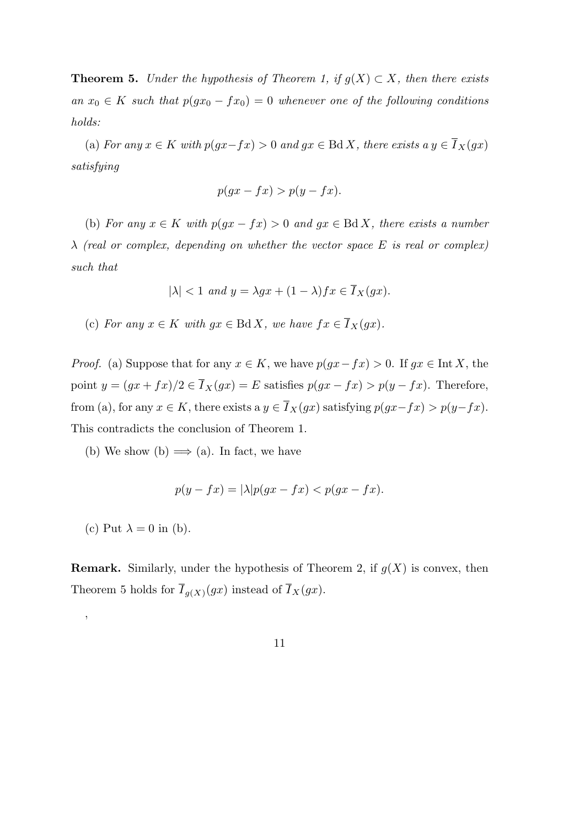**Theorem 5.** *Under the hypothesis of Theorem 1, if*  $g(X) \subset X$ *, then there exists an*  $x_0$  ∈ *K such that*  $p(gx_0 - fx_0) = 0$  *whenever one of the following conditions holds:*

(a) *For any*  $x \in K$  *with*  $p(gx - fx) > 0$  *and*  $gx \in \text{Bd } X$ *, there exists a*  $y \in \overline{I}_X(gx)$ *satisfying*

$$
p(gx - fx) > p(y - fx).
$$

(b) *For any*  $x \in K$  *with*  $p(gx - fx) > 0$  *and*  $gx \in BdX$ *, there exists a number λ (real or complex, depending on whether the vector space E is real or complex) such that*

$$
|\lambda| < 1 \ and \ y = \lambda gx + (1 - \lambda) fx \in \overline{I}_X(gx).
$$

(c) *For any*  $x \in K$  *with*  $gx \in \text{Bd } X$ *, we have*  $fx \in \overline{I}_X(gx)$ *.* 

*Proof.* (a) Suppose that for any  $x \in K$ , we have  $p(gx - fx) > 0$ . If  $gx \in \text{Int } X$ , the point  $y = (gx + fx)/2 \in \overline{I}_X(gx) = E$  satisfies  $p(gx - fx) > p(y - fx)$ . Therefore, from (a), for any  $x \in K$ , there exists a  $y \in \overline{I}_X(gx)$  satisfying  $p(gx-fx) > p(y-fx)$ . This contradicts the conclusion of Theorem 1.

(b) We show (b)  $\implies$  (a). In fact, we have

$$
p(y - fx) = |\lambda| p(gx - fx) < p(gx - fx).
$$

(c) Put  $\lambda = 0$  in (b).

'

**Remark.** Similarly, under the hypothesis of Theorem 2, if  $q(X)$  is convex, then Theorem 5 holds for  $I_{g(X)}(gx)$  instead of  $I_X(gx)$ .

11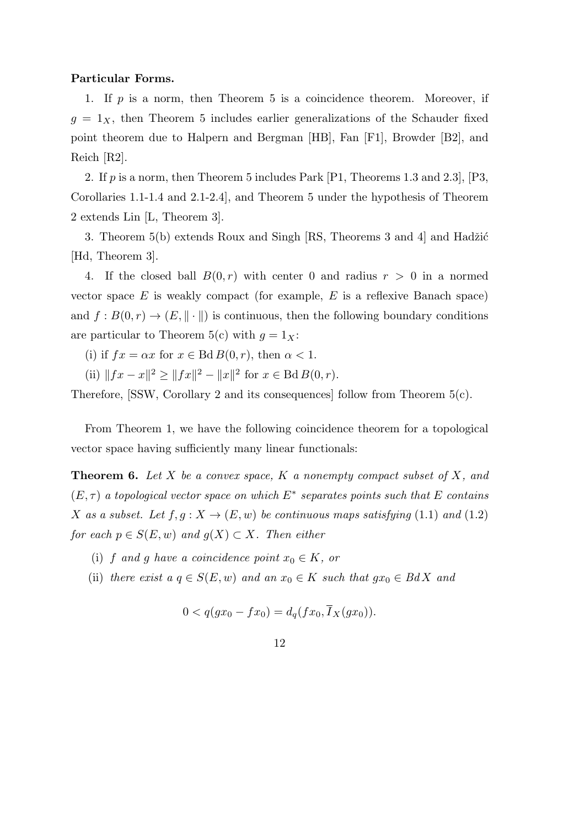#### **Particular Forms.**

1. If *p* is a norm, then Theorem 5 is a coincidence theorem. Moreover, if  $g = 1_X$ , then Theorem 5 includes earlier generalizations of the Schauder fixed point theorem due to Halpern and Bergman [HB], Fan [F1], Browder [B2], and Reich [R2].

2. If *p* is a norm, then Theorem 5 includes Park [P1, Theorems 1.3 and 2.3], [P3, Corollaries 1.1-1.4 and 2.1-2.4], and Theorem 5 under the hypothesis of Theorem 2 extends Lin [L, Theorem 3].

3. Theorem  $5(b)$  extends Roux and Singh [RS, Theorems 3 and 4] and Hadžić [Hd, Theorem 3].

4. If the closed ball  $B(0,r)$  with center 0 and radius  $r > 0$  in a normed vector space *E* is weakly compact (for example, *E* is a reflexive Banach space) and  $f: B(0,r) \to (E, \|\cdot\|)$  is continuous, then the following boundary conditions are particular to Theorem 5(c) with  $g = 1_X$ :

- (i) if  $fx = \alpha x$  for  $x \in \text{Bd } B(0, r)$ , then  $\alpha < 1$ .
- (ii)  $||fx x||^2 \ge ||fx||^2 ||x||^2$  for  $x \in \text{Bd}B(0, r)$ .

Therefore, [SSW, Corollary 2 and its consequences] follow from Theorem 5(c).

From Theorem 1, we have the following coincidence theorem for a topological vector space having sufficiently many linear functionals:

**Theorem 6.** *Let X be a convex space, K a nonempty compact subset of X, and*  $(E, \tau)$  *a topological vector space on which*  $E^*$  *separates points such that*  $E$  *contains X as a subset.* Let  $f, g: X \to (E, w)$  *be continuous maps satisfying* (1.1) *and* (1.2) *for each*  $p \in S(E, w)$  *and*  $g(X) \subset X$ *. Then either* 

- (i) *f* and *g* have a coincidence point  $x_0 \in K$ , or
- (ii) *there exist a*  $q \in S(E, w)$  *and an*  $x_0 \in K$  *such that*  $gx_0 \in BdX$  *and*

$$
0 < q(gx_0 - fx_0) = d_q(fx_0, I_X(gx_0)).
$$

12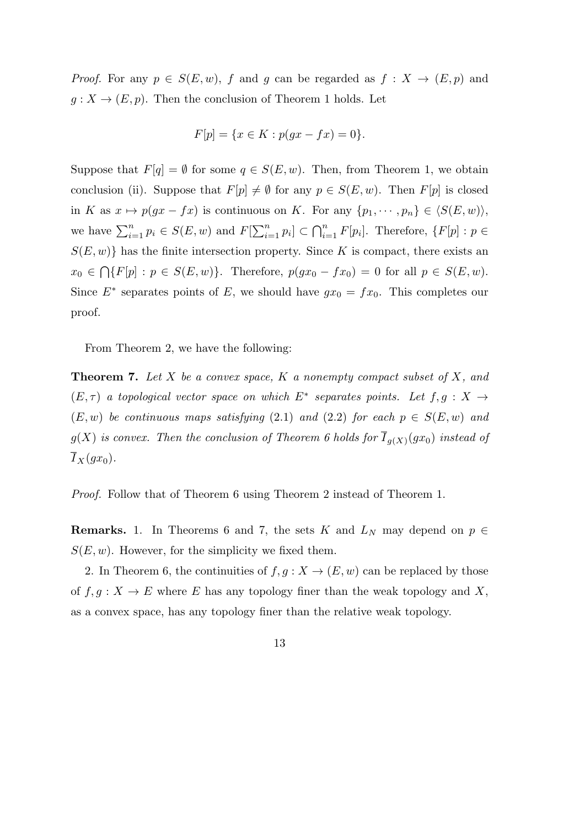*Proof.* For any  $p \in S(E, w)$ , *f* and *g* can be regarded as  $f : X \to (E, p)$  and  $g: X \to (E, p)$ . Then the conclusion of Theorem 1 holds. Let

$$
F[p] = \{ x \in K : p(gx - fx) = 0 \}.
$$

Suppose that  $F[q] = \emptyset$  for some  $q \in S(E, w)$ . Then, from Theorem 1, we obtain conclusion (ii). Suppose that  $F[p] \neq \emptyset$  for any  $p \in S(E, w)$ . Then  $F[p]$  is closed in *K* as  $x \mapsto p(gx - fx)$  is continuous on *K*. For any  $\{p_1, \dots, p_n\} \in \langle S(E, w) \rangle$ , we have  $\sum_{i=1}^n p_i \in S(E, w)$  and  $F[\sum_{i=1}^n p_i] \subset \bigcap_{i=1}^n F[p_i]$ . Therefore,  $\{F[p] : p \in S(E, w) \}$  $S(E, w)$ } has the finite intersection property. Since *K* is compact, there exists an  $x_0 \in \bigcap \{F[p] : p \in S(E, w)\}.$  Therefore,  $p(gx_0 - fx_0) = 0$  for all  $p \in S(E, w).$ Since  $E^*$  separates points of  $E$ , we should have  $gx_0 = fx_0$ . This completes our proof.

From Theorem 2, we have the following:

**Theorem 7.** *Let X be a convex space, K a nonempty compact subset of X, and*  $(E, \tau)$  *a topological vector space on which*  $E^*$  separates points. Let  $f, g: X \rightarrow$  $(E, w)$  *be continuous maps satisfying* (2.1) *and* (2.2) *for each*  $p \in S(E, w)$  *and*  $g(X)$  *is convex. Then the conclusion of Theorem 6 holds for*  $I_{g(X)}(gx_0)$  *instead of*  $\overline{I}_X(gx_0)$ .

*Proof.* Follow that of Theorem 6 using Theorem 2 instead of Theorem 1.

**Remarks.** 1. In Theorems 6 and 7, the sets *K* and  $L_N$  may depend on  $p \in$  $S(E, w)$ . However, for the simplicity we fixed them.

2. In Theorem 6, the continuities of  $f, g: X \to (E, w)$  can be replaced by those of  $f, g: X \to E$  where *E* has any topology finer than the weak topology and *X*, as a convex space, has any topology finer than the relative weak topology.

13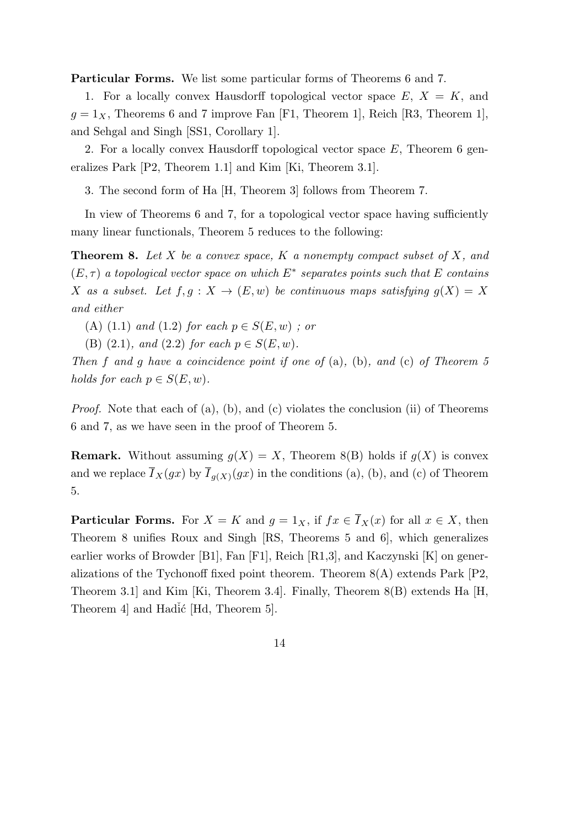**Particular Forms.** We list some particular forms of Theorems 6 and 7.

1. For a locally convex Hausdorff topological vector space  $E, X = K$ , and  $g = 1_X$ , Theorems 6 and 7 improve Fan [F1, Theorem 1], Reich [R3, Theorem 1], and Sehgal and Singh [SS1, Corollary 1].

2. For a locally convex Hausdorff topological vector space *E*, Theorem 6 generalizes Park [P2, Theorem 1.1] and Kim [Ki, Theorem 3.1].

3. The second form of Ha [H, Theorem 3] follows from Theorem 7.

In view of Theorems 6 and 7, for a topological vector space having sufficiently many linear functionals, Theorem 5 reduces to the following:

**Theorem 8.** *Let X be a convex space, K a nonempty compact subset of X, and*  $(E, \tau)$  *a topological vector space on which*  $E^*$  *separates points such that*  $E$  *contains X as a subset.* Let  $f, g: X \to (E, w)$  be continuous maps satisfying  $g(X) = X$ *and either*

(A) (1.1) *and* (1.2) *for each*  $p \in S(E, w)$ ; *or* 

(B) (2.1)*, and* (2.2) *for each*  $p \in S(E, w)$ *.* 

*Then f and g have a coincidence point if one of* (a)*,* (b)*, and* (c) *of Theorem 5 holds for each*  $p \in S(E, w)$ *.* 

*Proof.* Note that each of (a), (b), and (c) violates the conclusion (ii) of Theorems 6 and 7, as we have seen in the proof of Theorem 5.

**Remark.** Without assuming  $g(X) = X$ , Theorem 8(B) holds if  $g(X)$  is convex and we replace  $I_X(gx)$  by  $I_{g(X)}(gx)$  in the conditions (a), (b), and (c) of Theorem 5.

**Particular Forms.** For  $X = K$  and  $g = 1_X$ , if  $fx \in \overline{I}_X(x)$  for all  $x \in X$ , then Theorem 8 unifies Roux and Singh [RS, Theorems 5 and 6], which generalizes earlier works of Browder [B1], Fan [F1], Reich [R1,3], and Kaczynski [K] on generalizations of the Tychonoff fixed point theorem. Theorem 8(A) extends Park [P2, Theorem 3.1] and Kim [Ki, Theorem 3.4]. Finally, Theorem 8(B) extends Ha [H, Theorem 4 and Hadić [Hd, Theorem 5].

14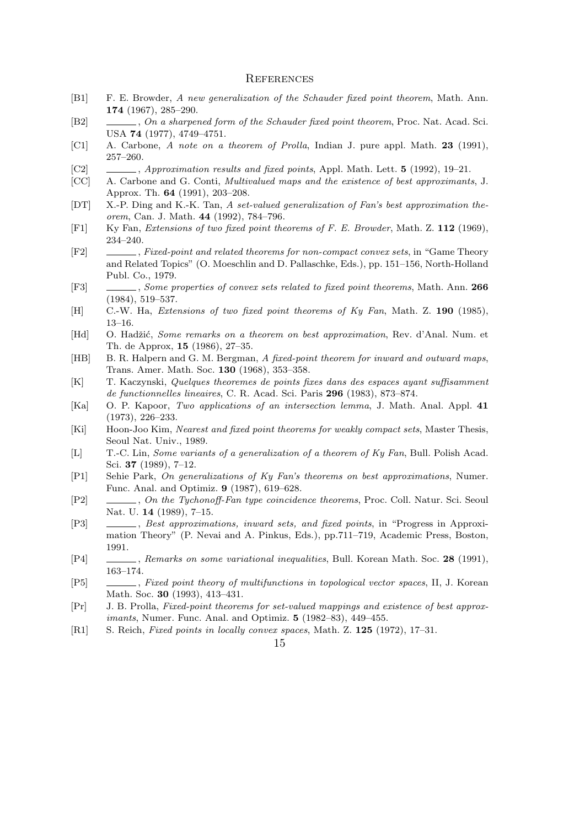#### **REFERENCES**

- [B1] F. E. Browder, *A new generalization of the Schauder fixed point theorem*, Math. Ann. **174** (1967), 285–290.
- [B2] , *On a sharpened form of the Schauder fixed point theorem*, Proc. Nat. Acad. Sci. USA **74** (1977), 4749–4751.
- [C1] A. Carbone, *A note on a theorem of Prolla*, Indian J. pure appl. Math. **23** (1991), 257–260.
- [C2] , *Approximation results and fixed points*, Appl. Math. Lett. **5** (1992), 19–21.
- [CC] A. Carbone and G. Conti, *Multivalued maps and the existence of best approximants*, J. Approx. Th. **64** (1991), 203–208.
- [DT] X.-P. Ding and K.-K. Tan, *A set-valued generalization of Fan's best approximation theorem*, Can. J. Math. **44** (1992), 784–796.
- [F1] Ky Fan, *Extensions of two fixed point theorems of F. E. Browder*, Math. Z. **112** (1969), 234–240.
- [F2] , *Fixed-point and related theorems for non-compact convex sets*, in "Game Theory and Related Topics" (O. Moeschlin and D. Pallaschke, Eds.), pp. 151–156, North-Holland Publ. Co., 1979.
- [F3] , *Some properties of convex sets related to fixed point theorems*, Math. Ann. **266** (1984), 519–537.
- [H] C.-W. Ha, *Extensions of two fixed point theorems of Ky Fan*, Math. Z. **190** (1985), 13–16.
- [Hd] O. Hadˇzi´c, *Some remarks on a theorem on best approximation*, Rev. d'Anal. Num. et Th. de Approx, **15** (1986), 27–35.
- [HB] B. R. Halpern and G. M. Bergman, *A fixed-point theorem for inward and outward maps*, Trans. Amer. Math. Soc. **130** (1968), 353–358.
- [K] T. Kaczynski, *Quelques theoremes de points fixes dans des espaces ayant suffisamment de functionnelles lineaires*, C. R. Acad. Sci. Paris **296** (1983), 873–874.
- [Ka] O. P. Kapoor, *Two applications of an intersection lemma*, J. Math. Anal. Appl. **41** (1973), 226–233.
- [Ki] Hoon-Joo Kim, *Nearest and fixed point theorems for weakly compact sets*, Master Thesis, Seoul Nat. Univ., 1989.
- [L] T.-C. Lin, *Some variants of a generalization of a theorem of Ky Fan*, Bull. Polish Acad. Sci. **37** (1989), 7–12.
- [P1] Sehie Park, *On generalizations of Ky Fan's theorems on best approximations*, Numer. Func. Anal. and Optimiz. **9** (1987), 619–628.
- [P2] , *On the Tychonoff-Fan type coincidence theorems*, Proc. Coll. Natur. Sci. Seoul Nat. U. **14** (1989), 7–15.
- [P3] , *Best approximations, inward sets, and fixed points*, in "Progress in Approximation Theory" (P. Nevai and A. Pinkus, Eds.), pp.711–719, Academic Press, Boston, 1991.
- [P4] , *Remarks on some variational inequalities*, Bull. Korean Math. Soc. **28** (1991), 163–174.
- [P5] , *Fixed point theory of multifunctions in topological vector spaces*, II, J. Korean Math. Soc. **30** (1993), 413–431.
- [Pr] J. B. Prolla, *Fixed-point theorems for set-valued mappings and existence of best approximants*, Numer. Func. Anal. and Optimiz. **5** (1982–83), 449–455.
- [R1] S. Reich, *Fixed points in locally convex spaces*, Math. Z. **125** (1972), 17–31.